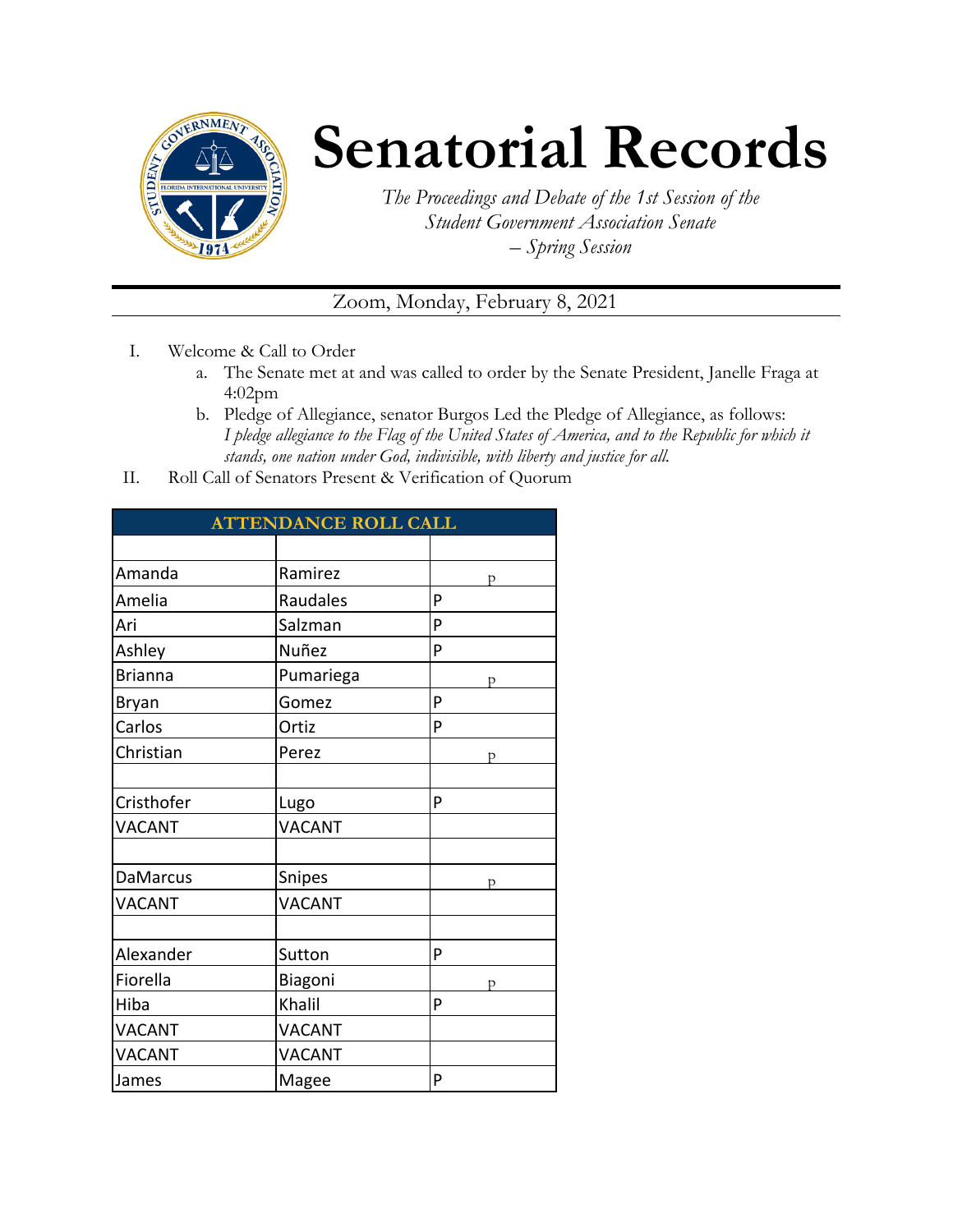

## **Senatorial Records**

*The Proceedings and Debate of the 1st Session of the Student Government Association Senate – Spring Session*

## Zoom, Monday, February 8, 2021

- I. Welcome & Call to Order
	- a. The Senate met at and was called to order by the Senate President, Janelle Fraga at 4:02pm
	- b. Pledge of Allegiance, senator Burgos Led the Pledge of Allegiance, as follows: *I pledge allegiance to the Flag of the United States of America, and to the Republic for which it stands, one nation under God, indivisible, with liberty and justice for all.*
- II. Roll Call of Senators Present & Verification of Quorum

| <b>ATTENDANCE ROLL CALL</b> |               |   |  |  |
|-----------------------------|---------------|---|--|--|
|                             |               |   |  |  |
| Amanda                      | Ramirez       | р |  |  |
| Amelia                      | Raudales      | P |  |  |
| Ari                         | Salzman       | P |  |  |
| Ashley                      | Nuñez         | P |  |  |
| <b>Brianna</b>              | Pumariega     | p |  |  |
| Bryan                       | Gomez         | P |  |  |
| Carlos                      | Ortiz         | P |  |  |
| Christian                   | Perez         | D |  |  |
|                             |               |   |  |  |
| Cristhofer                  | Lugo          | P |  |  |
| <b>VACANT</b>               | <b>VACANT</b> |   |  |  |
|                             |               |   |  |  |
| <b>DaMarcus</b>             | Snipes        | D |  |  |
| <b>VACANT</b>               | <b>VACANT</b> |   |  |  |
|                             |               |   |  |  |
| Alexander                   | Sutton        | P |  |  |
| Fiorella                    | Biagoni       | D |  |  |
| Hiba                        | Khalil        | P |  |  |
| <b>VACANT</b>               | <b>VACANT</b> |   |  |  |
| <b>VACANT</b>               | <b>VACANT</b> |   |  |  |
| James                       | Magee         | P |  |  |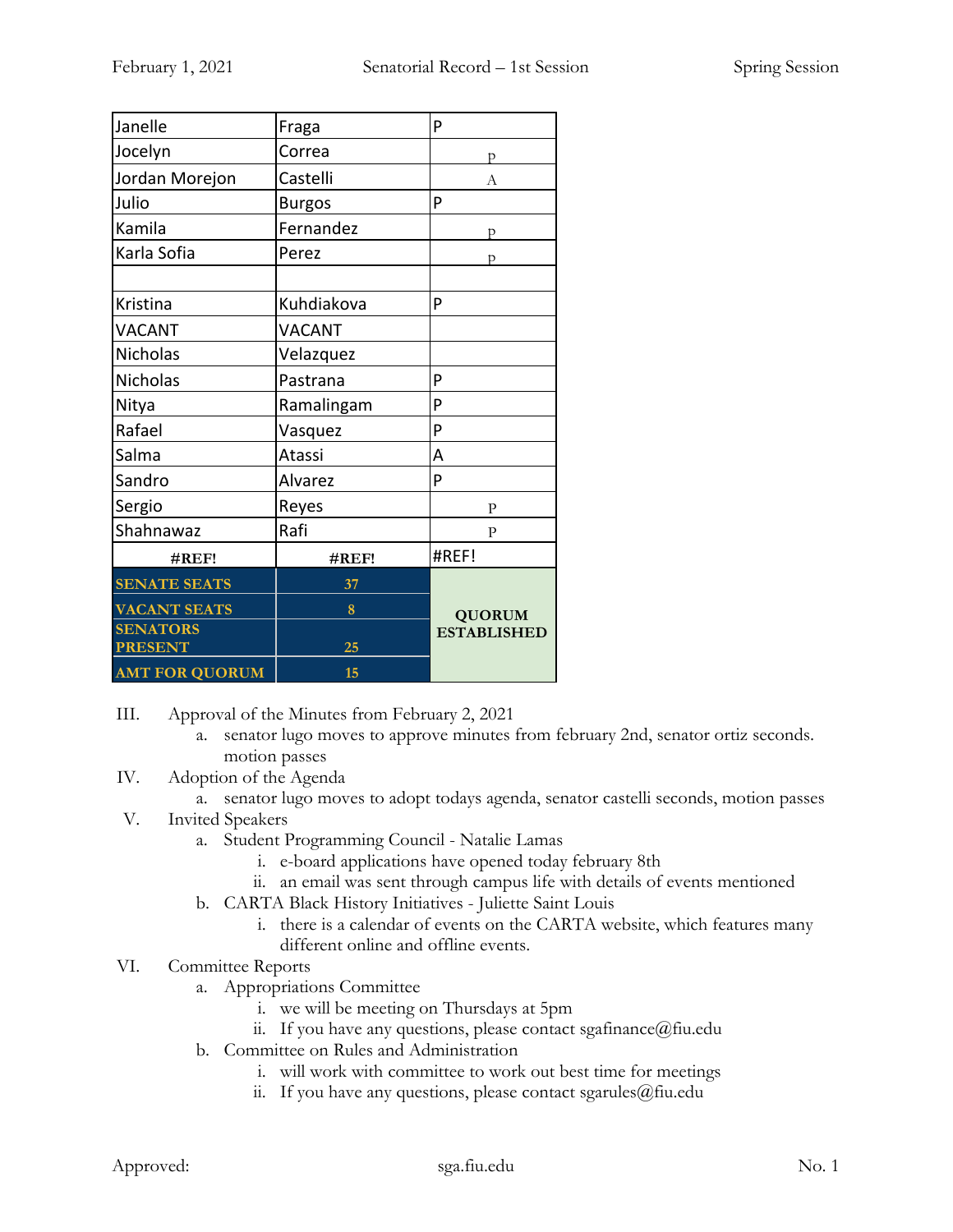| Janelle               | Fraga         | P                                   |
|-----------------------|---------------|-------------------------------------|
| Jocelyn               | Correa        | p                                   |
| Jordan Morejon        | Castelli      | A                                   |
| Julio                 | <b>Burgos</b> | P                                   |
| Kamila                | Fernandez     | p                                   |
| Karla Sofia           | Perez         | D                                   |
|                       |               |                                     |
| Kristina              | Kuhdiakova    | P                                   |
| <b>VACANT</b>         | <b>VACANT</b> |                                     |
| Nicholas              | Velazquez     |                                     |
| <b>Nicholas</b>       | Pastrana      | P                                   |
| Nitya                 | Ramalingam    | P                                   |
| Rafael                | Vasquez       | P                                   |
| Salma                 | Atassi        | A                                   |
| Sandro                | Alvarez       | P                                   |
| Sergio                | Reyes         | $\mathbf{P}$                        |
| Shahnawaz             | Rafi          | $\mathbf{P}$                        |
| #REF!                 | #REF!         | #REF!                               |
| <b>SENATE SEATS</b>   | 37            |                                     |
| <b>VACANT SEATS</b>   | 8             | <b>QUORUM</b><br><b>ESTABLISHED</b> |
| <b>SENATORS</b>       |               |                                     |
| <b>PRESENT</b>        | 25            |                                     |
| <b>AMT FOR QUORUM</b> | 15            |                                     |

III. Approval of the Minutes from February 2, 2021

- a. senator lugo moves to approve minutes from february 2nd, senator ortiz seconds. motion passes
- IV. Adoption of the Agenda
	- a. senator lugo moves to adopt todays agenda, senator castelli seconds, motion passes
- V. Invited Speakers
	- a. Student Programming Council Natalie Lamas
		- i. e-board applications have opened today february 8th
		- ii. an email was sent through campus life with details of events mentioned
	- b. CARTA Black History Initiatives Juliette Saint Louis
		- i. there is a calendar of events on the CARTA website, which features many different online and offline events.
- VI. Committee Reports
	- a. Appropriations Committee
		- i. we will be meeting on Thursdays at 5pm
		- ii. If you have any questions, please contact sgafinance  $(a)$  fiu.edu
	- b. Committee on Rules and Administration
		- i. will work with committee to work out best time for meetings
		- ii. If you have any questions, please contact sgarules@fiu.edu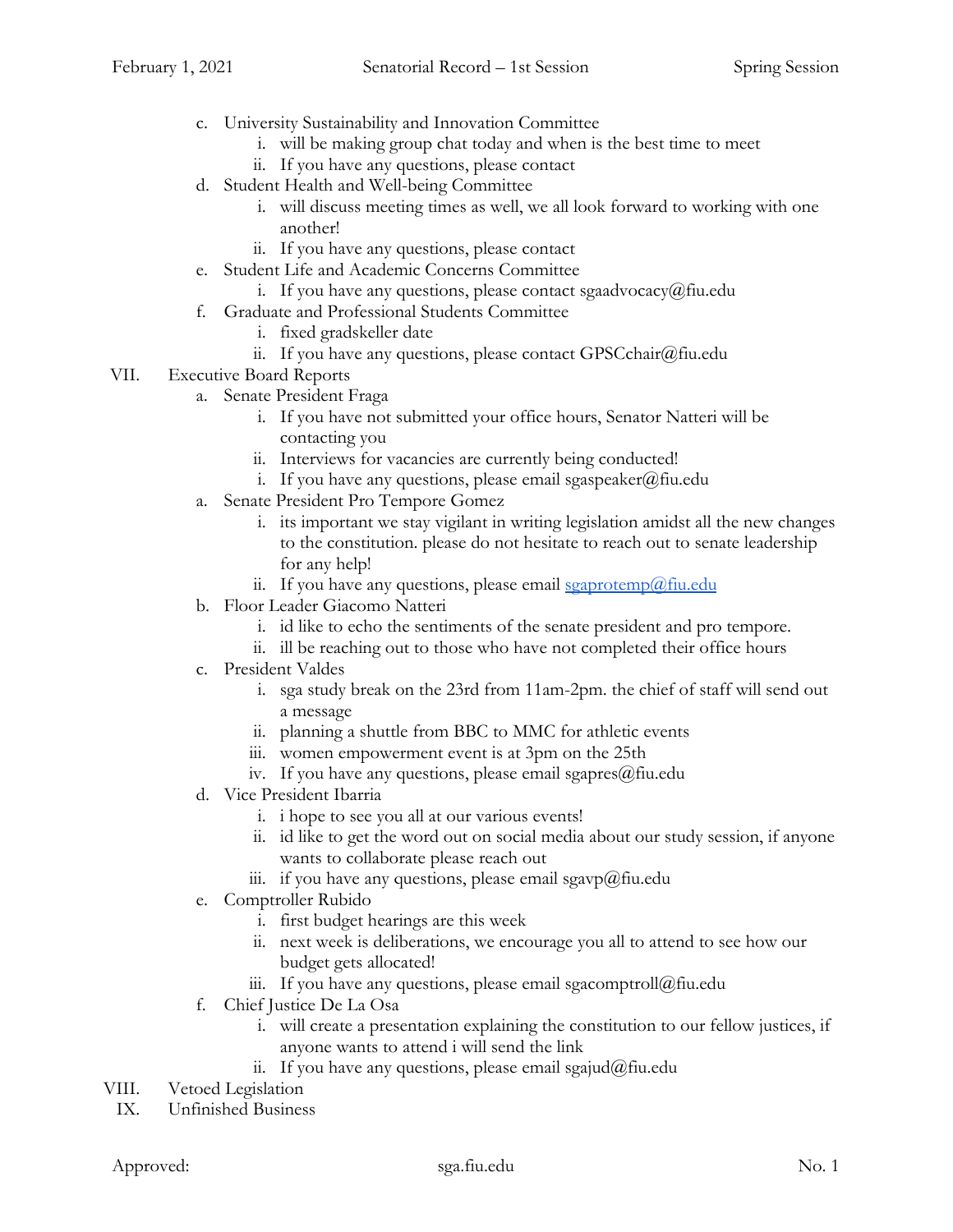- c. University Sustainability and Innovation Committee
	- i. will be making group chat today and when is the best time to meet
	- ii. If you have any questions, please contact
- d. Student Health and Well-being Committee
	- i. will discuss meeting times as well, we all look forward to working with one another!
	- ii. If you have any questions, please contact
- e. Student Life and Academic Concerns Committee
	- i. If you have any questions, please contact sgaadvocacy@fiu.edu
- f. Graduate and Professional Students Committee
	- i. fixed gradskeller date
	- ii. If you have any questions, please contact GPSCchair@fiu.edu
- VII. Executive Board Reports
	- a. Senate President Fraga
		- i. If you have not submitted your office hours, Senator Natteri will be contacting you
		- ii. Interviews for vacancies are currently being conducted!
		- i. If you have any questions, please email sgaspeaker@fiu.edu
	- a. Senate President Pro Tempore Gomez
		- i. its important we stay vigilant in writing legislation amidst all the new changes to the constitution. please do not hesitate to reach out to senate leadership for any help!
		- ii. If you have any questions, please email  $\frac{1}{2}$  seaprotemp $\omega$  fiu.edu
	- b. Floor Leader Giacomo Natteri
		- i. id like to echo the sentiments of the senate president and pro tempore.
		- ii. ill be reaching out to those who have not completed their office hours
	- c. President Valdes
		- i. sga study break on the 23rd from 11am-2pm. the chief of staff will send out a message
		- ii. planning a shuttle from BBC to MMC for athletic events
		- iii. women empowerment event is at 3pm on the 25th
		- iv. If you have any questions, please email sgapres $@$ fiu.edu
	- d. Vice President Ibarria
		- i. i hope to see you all at our various events!
		- ii. id like to get the word out on social media about our study session, if anyone wants to collaborate please reach out
		- iii. if you have any questions, please email sgavp@fiu.edu
	- e. Comptroller Rubido
		- i. first budget hearings are this week
		- ii. next week is deliberations, we encourage you all to attend to see how our budget gets allocated!
		- iii. If you have any questions, please email sgacomptroll@fiu.edu
	- f. Chief Justice De La Osa
		- i. will create a presentation explaining the constitution to our fellow justices, if anyone wants to attend i will send the link
		- ii. If you have any questions, please email sgajud@fiu.edu
- VIII. Vetoed Legislation
- IX. Unfinished Business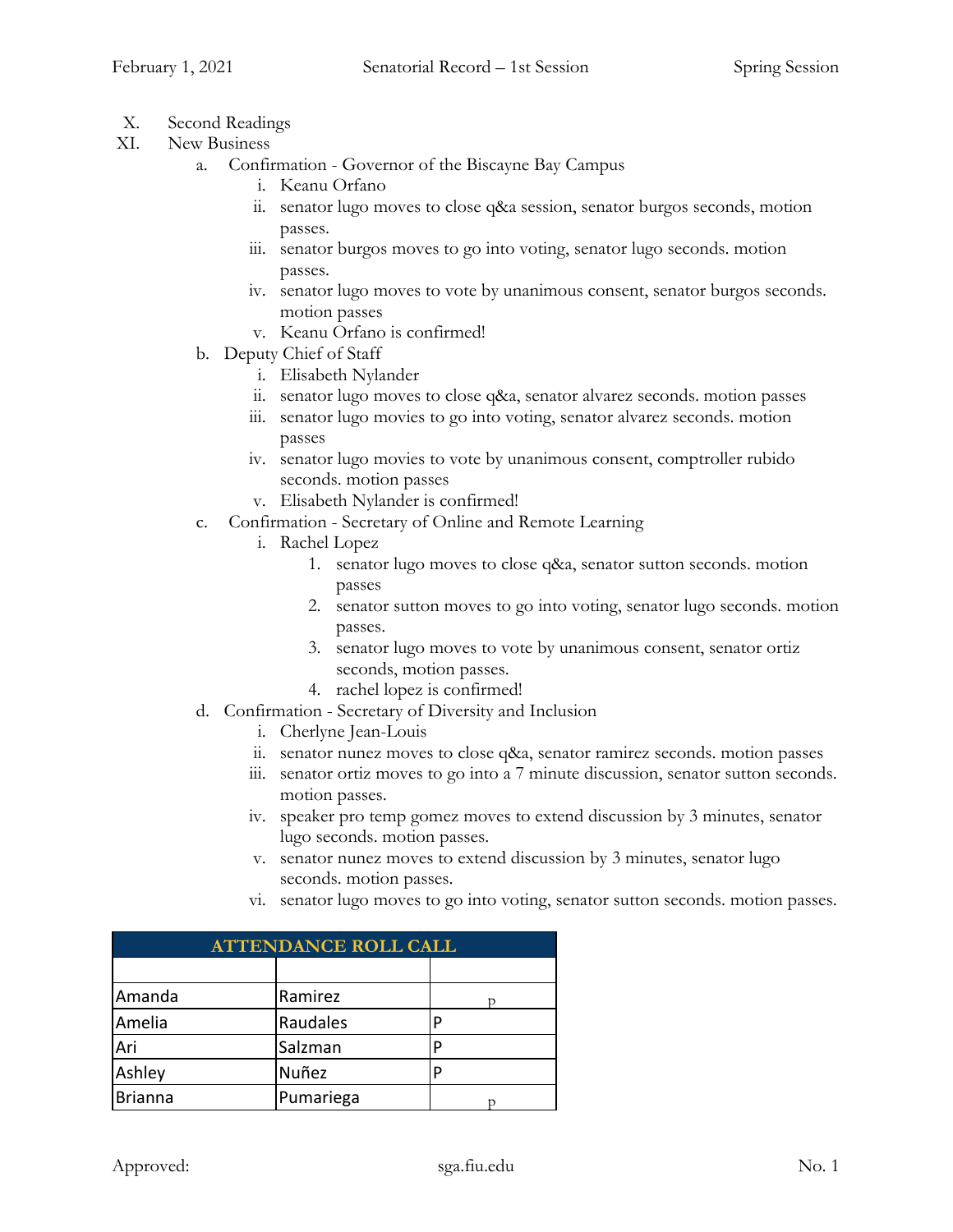- X. Second Readings
- XI. New Business
	- a. Confirmation Governor of the Biscayne Bay Campus
		- i. Keanu Orfano
		- ii. senator lugo moves to close q&a session, senator burgos seconds, motion passes.
		- iii. senator burgos moves to go into voting, senator lugo seconds. motion passes.
		- iv. senator lugo moves to vote by unanimous consent, senator burgos seconds. motion passes
		- v. Keanu Orfano is confirmed!
	- b. Deputy Chief of Staff
		- i. Elisabeth Nylander
		- ii. senator lugo moves to close q&a, senator alvarez seconds. motion passes
		- iii. senator lugo movies to go into voting, senator alvarez seconds. motion passes
		- iv. senator lugo movies to vote by unanimous consent, comptroller rubido seconds. motion passes
		- v. Elisabeth Nylander is confirmed!
	- c. Confirmation Secretary of Online and Remote Learning
		- i. Rachel Lopez
			- 1. senator lugo moves to close q&a, senator sutton seconds. motion passes
			- 2. senator sutton moves to go into voting, senator lugo seconds. motion passes.
			- 3. senator lugo moves to vote by unanimous consent, senator ortiz seconds, motion passes.
			- 4. rachel lopez is confirmed!
	- d. Confirmation Secretary of Diversity and Inclusion
		- i. Cherlyne Jean-Louis
		- ii. senator nunez moves to close q&a, senator ramirez seconds. motion passes
		- iii. senator ortiz moves to go into a 7 minute discussion, senator sutton seconds. motion passes.
		- iv. speaker pro temp gomez moves to extend discussion by 3 minutes, senator lugo seconds. motion passes.
		- v. senator nunez moves to extend discussion by 3 minutes, senator lugo seconds. motion passes.
		- vi. senator lugo moves to go into voting, senator sutton seconds. motion passes.

| <b>ATTENDANCE ROLL CALL</b> |           |   |  |  |
|-----------------------------|-----------|---|--|--|
|                             |           |   |  |  |
| Amanda                      | Ramirez   |   |  |  |
| Amelia                      | Raudales  |   |  |  |
| Ari                         | Salzman   | D |  |  |
| Ashley                      | Nuñez     |   |  |  |
| <b>Brianna</b>              | Pumariega |   |  |  |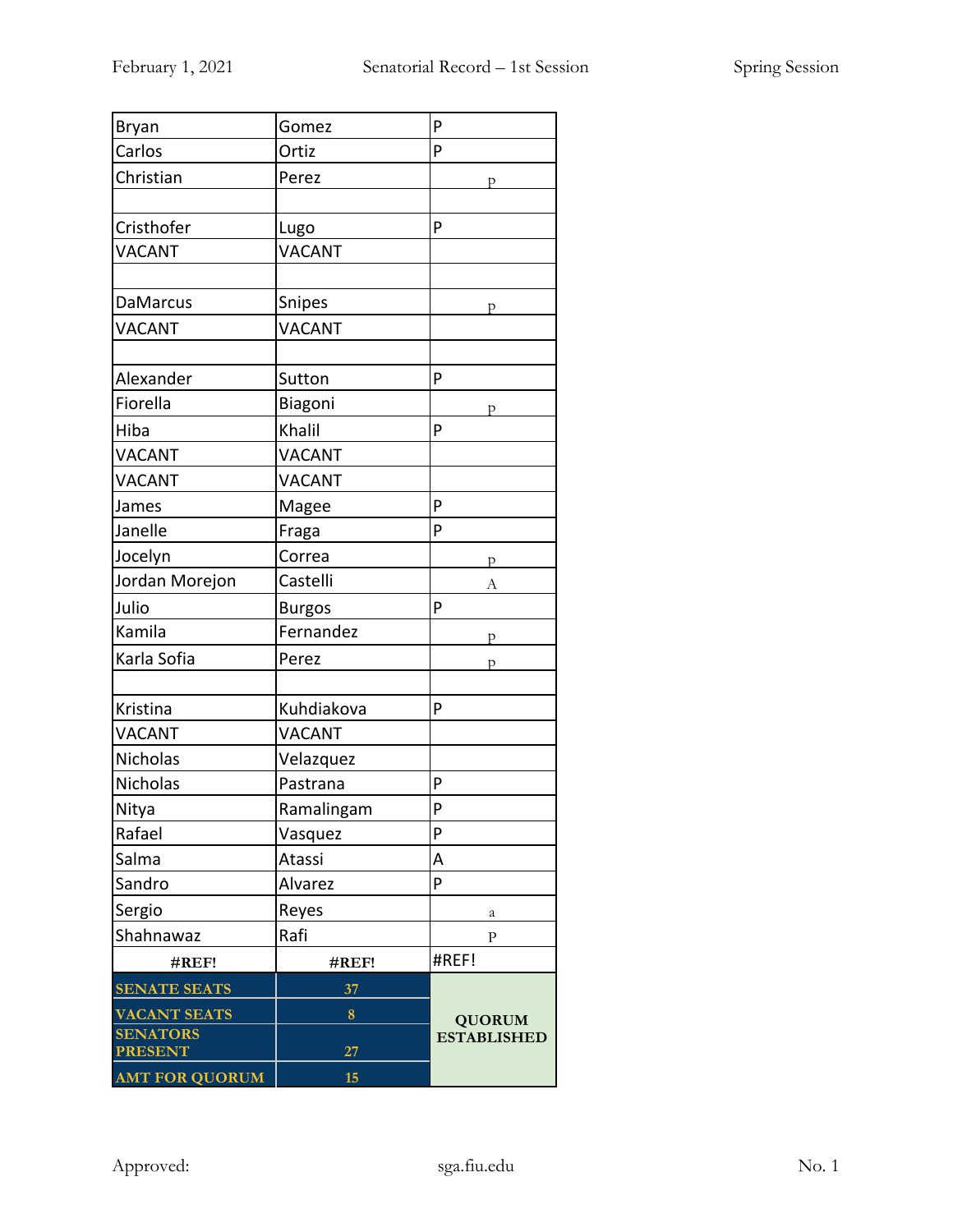| Bryan                 | Gomez         | P                  |
|-----------------------|---------------|--------------------|
| Carlos                | Ortiz         | P                  |
| Christian             | Perez         | p                  |
|                       |               |                    |
| Cristhofer            | Lugo          | P                  |
| VACANT                | <b>VACANT</b> |                    |
|                       |               |                    |
| <b>DaMarcus</b>       | Snipes        | р                  |
| VACANT                | <b>VACANT</b> |                    |
|                       |               |                    |
| Alexander             | Sutton        | P                  |
| Fiorella              | Biagoni       | р                  |
| Hiba                  | Khalil        | P                  |
| <b>VACANT</b>         | <b>VACANT</b> |                    |
| VACANT                | <b>VACANT</b> |                    |
| James                 | Magee         | P                  |
| Janelle               | Fraga         | P                  |
| Jocelyn               | Correa        | p                  |
| Jordan Morejon        | Castelli      | А                  |
| Julio                 | <b>Burgos</b> | P                  |
| Kamila                | Fernandez     | p                  |
| Karla Sofia           | Perez         | p                  |
|                       |               |                    |
| Kristina              | Kuhdiakova    | P                  |
| <b>VACANT</b>         | <b>VACANT</b> |                    |
| Nicholas              | Velazquez     |                    |
| Nicholas              | Pastrana      | P                  |
| Nitya                 | Ramalingam    | P                  |
| Rafael                | Vasquez       | P                  |
| Salma                 | Atassi        | Α                  |
| Sandro                | Alvarez       | P                  |
| Sergio                | Reyes         | а                  |
| Shahnawaz             | Rafi          | P                  |
| #REF!                 | #REF!         | #REF!              |
| <b>SENATE SEATS</b>   | 37            |                    |
| <b>VACANT SEATS</b>   | 8             | <b>QUORUM</b>      |
| <b>SENATORS</b>       |               | <b>ESTABLISHED</b> |
| <b>PRESENT</b>        | 27            |                    |
| <b>AMT FOR QUORUM</b> | 15            |                    |